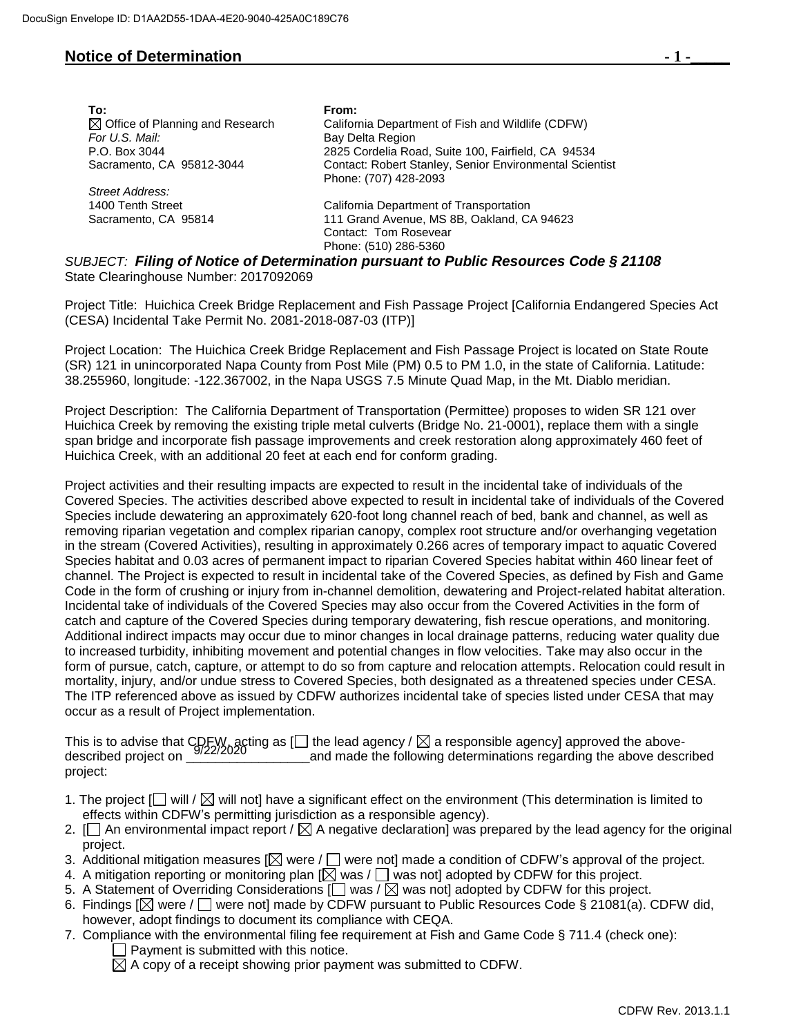## **Notice of Determination** *b* **1** *c*

| To:                                         | From:                                                                                                 |  |
|---------------------------------------------|-------------------------------------------------------------------------------------------------------|--|
| $\boxtimes$ Office of Planning and Research | California Department of Fish and Wildlife (CDFW)                                                     |  |
| For U.S. Mail:                              | Bay Delta Region                                                                                      |  |
| P.O. Box 3044                               | 2825 Cordelia Road, Suite 100, Fairfield, CA 94534                                                    |  |
| Sacramento, CA 95812-3044                   | Contact: Robert Stanley, Senior Environmental Scientist<br>Phone: (707) 428-2093                      |  |
| Street Address:                             |                                                                                                       |  |
| 1400 Tenth Street                           | California Department of Transportation                                                               |  |
| Sacramento, CA 95814                        | 111 Grand Avenue, MS 8B, Oakland, CA 94623                                                            |  |
|                                             | Contact: Tom Rosevear                                                                                 |  |
|                                             | Phone: (510) 286-5360                                                                                 |  |
|                                             | $D$ $\Gamma$ $\cap$ $\tau$ . Eiling of Nation of Datermination nurouant to Dublic Decourage Cade f. 3 |  |

*SUBJECT: Filing of Notice of Determination pursuant to Public Resources Code § 21108* State Clearinghouse Number: 2017092069

Project Title: Huichica Creek Bridge Replacement and Fish Passage Project [California Endangered Species Act (CESA) Incidental Take Permit No. 2081-2018-087-03 (ITP)]

Project Location: The Huichica Creek Bridge Replacement and Fish Passage Project is located on State Route (SR) 121 in unincorporated Napa County from Post Mile (PM) 0.5 to PM 1.0, in the state of California. Latitude: 38.255960, longitude: -122.367002, in the Napa USGS 7.5 Minute Quad Map, in the Mt. Diablo meridian.

Project Description: The California Department of Transportation (Permittee) proposes to widen SR 121 over Huichica Creek by removing the existing triple metal culverts (Bridge No. 21-0001), replace them with a single span bridge and incorporate fish passage improvements and creek restoration along approximately 460 feet of Huichica Creek, with an additional 20 feet at each end for conform grading.

Project activities and their resulting impacts are expected to result in the incidental take of individuals of the Covered Species. The activities described above expected to result in incidental take of individuals of the Covered Species include dewatering an approximately 620-foot long channel reach of bed, bank and channel, as well as removing riparian vegetation and complex riparian canopy, complex root structure and/or overhanging vegetation in the stream (Covered Activities), resulting in approximately 0.266 acres of temporary impact to aquatic Covered Species habitat and 0.03 acres of permanent impact to riparian Covered Species habitat within 460 linear feet of channel. The Project is expected to result in incidental take of the Covered Species, as defined by Fish and Game Code in the form of crushing or injury from in-channel demolition, dewatering and Project-related habitat alteration. Incidental take of individuals of the Covered Species may also occur from the Covered Activities in the form of catch and capture of the Covered Species during temporary dewatering, fish rescue operations, and monitoring. Additional indirect impacts may occur due to minor changes in local drainage patterns, reducing water quality due to increased turbidity, inhibiting movement and potential changes in flow velocities. Take may also occur in the form of pursue, catch, capture, or attempt to do so from capture and relocation attempts. Relocation could result in mortality, injury, and/or undue stress to Covered Species, both designated as a threatened species under CESA. The ITP referenced above as issued by CDFW authorizes incidental take of species listed under CESA that may occur as a result of Project implementation.

This is to advise that  $\text{CDEF}_M$  acting as [  $\Box$  the lead agency /  $\boxtimes$  a responsible agency] approved the abovedescribed project on \_\_\_\_\_\_\_\_\_\_\_\_\_\_\_\_\_and made the following determinations regarding the above described 9/22/2020project:

- 1. The project  $\Box$  will /  $\boxtimes$  will not] have a significant effect on the environment (This determination is limited to effects within CDFW's permitting jurisdiction as a responsible agency).
- 2.  $\Box$  An environmental impact report /  $\boxtimes$  A negative declaration] was prepared by the lead agency for the original project.
- 3. Additional mitigation measures [ $\boxtimes$  were /  $\Box$  were not] made a condition of CDFW's approval of the project.
- 4. A mitigation reporting or monitoring plan  $[\boxtimes]$  was  $/\Box$  was not] adopted by CDFW for this project.
- 5. A Statement of Overriding Considerations [ $\Box$  was /  $\boxtimes$  was not] adopted by CDFW for this project.
- 6. Findings [ $\boxtimes$  were /  $\Box$  were not] made by CDFW pursuant to Public Resources Code § 21081(a). CDFW did, however, adopt findings to document its compliance with CEQA.
- 7. Compliance with the environmental filing fee requirement at Fish and Game Code § 711.4 (check one):  $\Box$  Payment is submitted with this notice.

 $\boxtimes$  A copy of a receipt showing prior payment was submitted to CDFW.